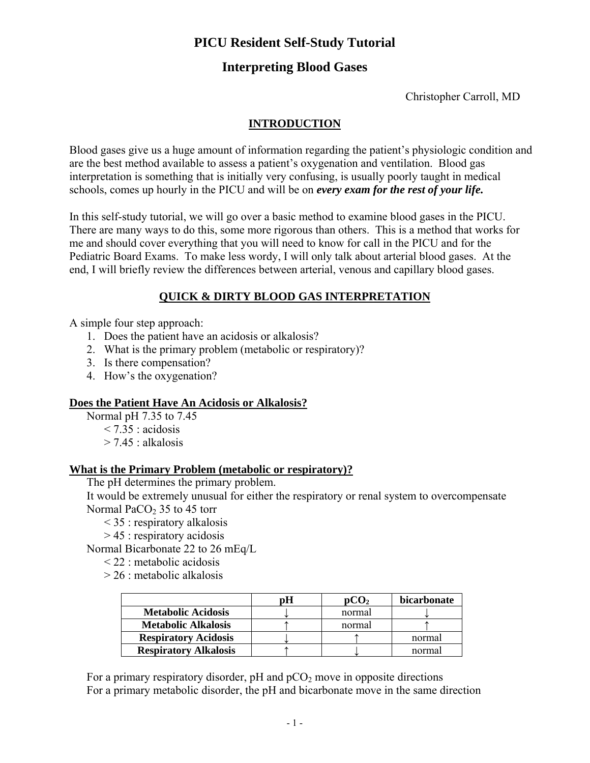## **Interpreting Blood Gases**

Christopher Carroll, MD

### **INTRODUCTION**

Blood gases give us a huge amount of information regarding the patient's physiologic condition and are the best method available to assess a patient's oxygenation and ventilation. Blood gas interpretation is something that is initially very confusing, is usually poorly taught in medical schools, comes up hourly in the PICU and will be on *every exam for the rest of your life.*

In this self-study tutorial, we will go over a basic method to examine blood gases in the PICU. There are many ways to do this, some more rigorous than others. This is a method that works for me and should cover everything that you will need to know for call in the PICU and for the Pediatric Board Exams. To make less wordy, I will only talk about arterial blood gases. At the end, I will briefly review the differences between arterial, venous and capillary blood gases.

## **QUICK & DIRTY BLOOD GAS INTERPRETATION**

A simple four step approach:

- 1. Does the patient have an acidosis or alkalosis?
- 2. What is the primary problem (metabolic or respiratory)?
- 3. Is there compensation?
- 4. How's the oxygenation?

### **Does the Patient Have An Acidosis or Alkalosis?**

Normal pH 7.35 to 7.45

- $< 7.35$ : acidosis
- > 7.45 : alkalosis

### **What is the Primary Problem (metabolic or respiratory)?**

The pH determines the primary problem.

It would be extremely unusual for either the respiratory or renal system to overcompensate Normal PaCO $_2$  35 to 45 torr

< 35 : respiratory alkalosis

> 45 : respiratory acidosis

Normal Bicarbonate 22 to 26 mEq/L

< 22 : metabolic acidosis

> 26 : metabolic alkalosis

|                              | pН | pCO <sub>2</sub> | bicarbonate |
|------------------------------|----|------------------|-------------|
| <b>Metabolic Acidosis</b>    |    | normal           |             |
| <b>Metabolic Alkalosis</b>   |    | normal           |             |
| <b>Respiratory Acidosis</b>  |    |                  | normal      |
| <b>Respiratory Alkalosis</b> |    |                  | normal      |

For a primary respiratory disorder,  $pH$  and  $pCO<sub>2</sub>$  move in opposite directions For a primary metabolic disorder, the pH and bicarbonate move in the same direction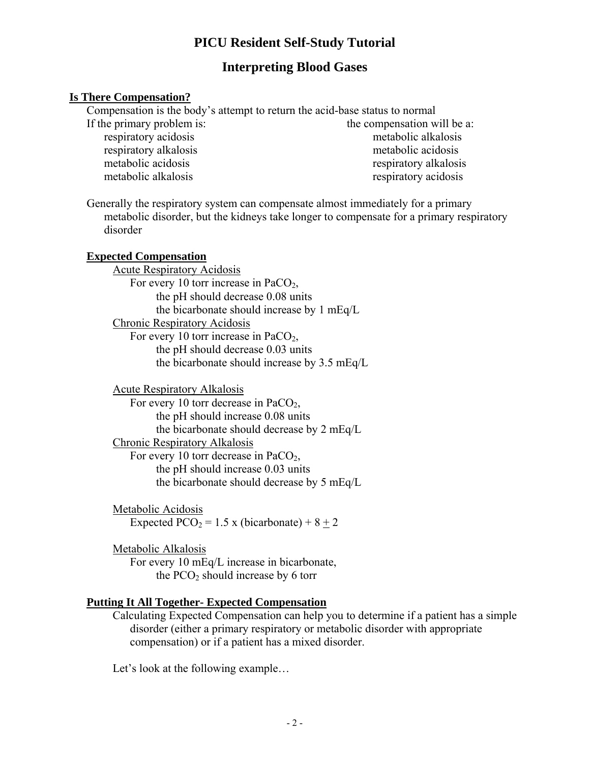## **Interpreting Blood Gases**

#### **Is There Compensation?**

Compensation is the body's attempt to return the acid-base status to normal If the primary problem is: the compensation will be a:

respiratory acidosis metabolic alkalosis respiratory alkalosis metabolic acidosis metabolic acidosis respiratory alkalosis metabolic alkalosis respiratory acidosis

Generally the respiratory system can compensate almost immediately for a primary metabolic disorder, but the kidneys take longer to compensate for a primary respiratory disorder

### **Expected Compensation**

 Acute Respiratory Acidosis For every 10 torr increase in PaCO<sub>2</sub>, the pH should decrease 0.08 units the bicarbonate should increase by 1 mEq/L Chronic Respiratory Acidosis For every 10 torr increase in PaCO<sub>2</sub>, the pH should decrease 0.03 units the bicarbonate should increase by 3.5 mEq/L

 Acute Respiratory Alkalosis For every 10 torr decrease in PaCO<sub>2</sub>, the pH should increase 0.08 units the bicarbonate should decrease by 2 mEq/L Chronic Respiratory Alkalosis For every 10 torr decrease in PaCO<sub>2</sub>, the pH should increase 0.03 units the bicarbonate should decrease by 5 mEq/L

 Metabolic Acidosis Expected  $PCO_2 = 1.5$  x (bicarbonate) + 8 + 2

 Metabolic Alkalosis For every 10 mEq/L increase in bicarbonate, the  $PCO<sub>2</sub>$  should increase by 6 torr

### **Putting It All Together- Expected Compensation**

Calculating Expected Compensation can help you to determine if a patient has a simple disorder (either a primary respiratory or metabolic disorder with appropriate compensation) or if a patient has a mixed disorder.

Let's look at the following example...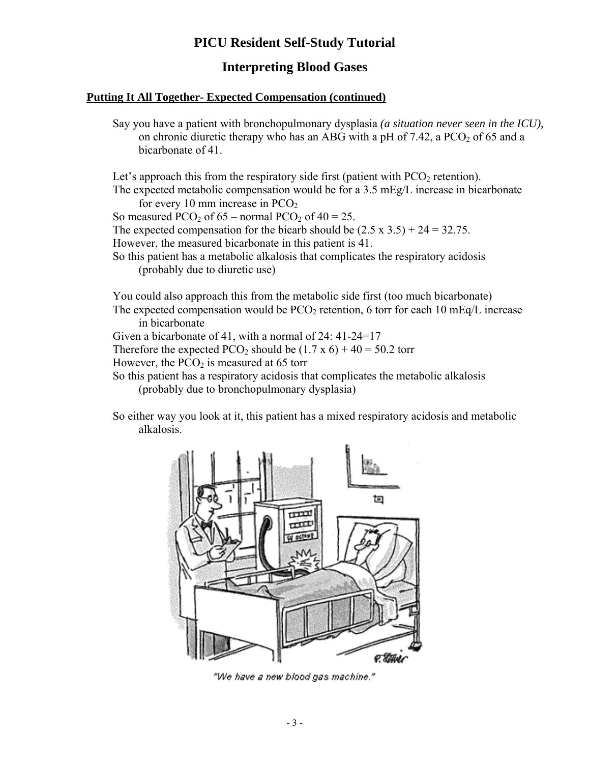# **Interpreting Blood Gases**

#### **Putting It All Together- Expected Compensation (continued)**

Say you have a patient with bronchopulmonary dysplasia *(a situation never seen in the ICU),* on chronic diuretic therapy who has an ABG with a pH of  $7.42$ , a  $PCO<sub>2</sub>$  of 65 and a bicarbonate of 41.

Let's approach this from the respiratory side first (patient with  $PCO<sub>2</sub>$  retention).

The expected metabolic compensation would be for a 3.5 mEg/L increase in bicarbonate for every 10 mm increase in  $PCO<sub>2</sub>$ 

So measured PCO<sub>2</sub> of  $65$  – normal PCO<sub>2</sub> of  $40 = 25$ .

The expected compensation for the bicarb should be  $(2.5 \times 3.5) + 24 = 32.75$ .

However, the measured bicarbonate in this patient is 41.

So this patient has a metabolic alkalosis that complicates the respiratory acidosis (probably due to diuretic use)

You could also approach this from the metabolic side first (too much bicarbonate) The expected compensation would be  $PCO<sub>2</sub>$  retention, 6 torr for each 10 mEq/L increase in bicarbonate

Given a bicarbonate of 41, with a normal of 24: 41-24=17

Therefore the expected PCO<sub>2</sub> should be  $(1.7 \times 6) + 40 = 50.2$  torr

However, the  $PCO<sub>2</sub>$  is measured at 65 torr

- So this patient has a respiratory acidosis that complicates the metabolic alkalosis (probably due to bronchopulmonary dysplasia)
- So either way you look at it, this patient has a mixed respiratory acidosis and metabolic alkalosis.



"We have a new blood gas machine."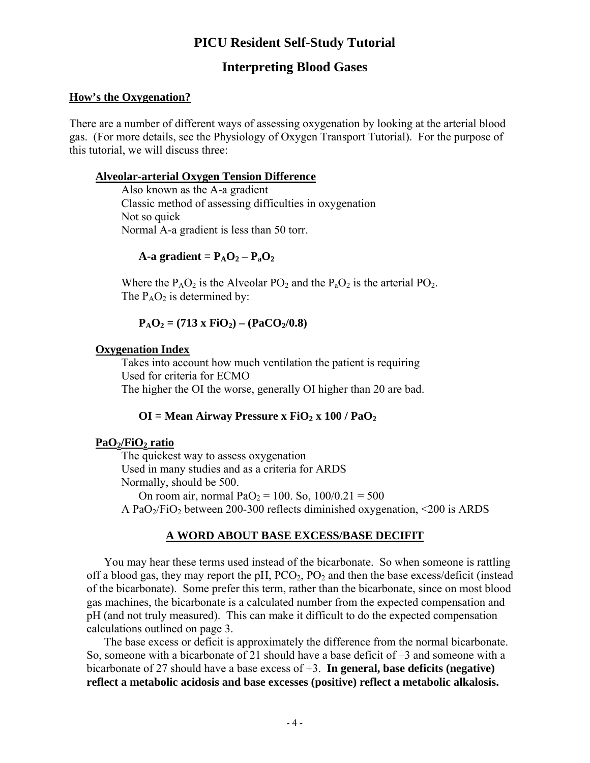### **Interpreting Blood Gases**

#### **How's the Oxygenation?**

There are a number of different ways of assessing oxygenation by looking at the arterial blood gas. (For more details, see the Physiology of Oxygen Transport Tutorial). For the purpose of this tutorial, we will discuss three:

#### **Alveolar-arterial Oxygen Tension Difference**

Also known as the A-a gradient Classic method of assessing difficulties in oxygenation Not so quick Normal A-a gradient is less than 50 torr.

### $A-a$  gradient =  $P_AO_2 - P_aO_2$

Where the  $P_AO_2$  is the Alveolar PO<sub>2</sub> and the  $P_aO_2$  is the arterial PO<sub>2</sub>. The  $P_AO_2$  is determined by:

#### $P_AO_2 = (713 \times FiO_2) - (PaCO_2/0.8)$

#### **Oxygenation Index**

Takes into account how much ventilation the patient is requiring Used for criteria for ECMO The higher the OI the worse, generally OI higher than 20 are bad.

#### $OI = Mean Airway Pressure x FiO<sub>2</sub> x 100 / PaO<sub>2</sub>$

#### PaO<sub>2</sub>/FiO<sub>2</sub> ratio

The quickest way to assess oxygenation Used in many studies and as a criteria for ARDS Normally, should be 500. On room air, normal PaO<sub>2</sub> = 100. So,  $100/0.21 = 500$ A PaO $_2$ /FiO<sub>2</sub> between 200-300 reflects diminished oxygenation, <200 is ARDS

#### **A WORD ABOUT BASE EXCESS/BASE DECIFIT**

You may hear these terms used instead of the bicarbonate. So when someone is rattling off a blood gas, they may report the pH,  $PCO<sub>2</sub>$ ,  $PO<sub>2</sub>$  and then the base excess/deficit (instead of the bicarbonate). Some prefer this term, rather than the bicarbonate, since on most blood gas machines, the bicarbonate is a calculated number from the expected compensation and pH (and not truly measured). This can make it difficult to do the expected compensation calculations outlined on page 3.

The base excess or deficit is approximately the difference from the normal bicarbonate. So, someone with a bicarbonate of 21 should have a base deficit of  $-3$  and someone with a bicarbonate of 27 should have a base excess of +3. **In general, base deficits (negative) reflect a metabolic acidosis and base excesses (positive) reflect a metabolic alkalosis.**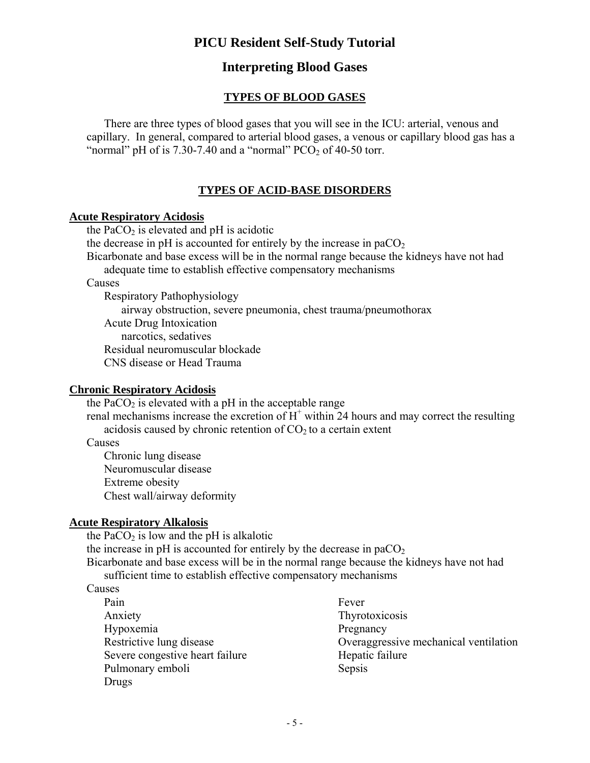## **Interpreting Blood Gases**

### **TYPES OF BLOOD GASES**

There are three types of blood gases that you will see in the ICU: arterial, venous and capillary. In general, compared to arterial blood gases, a venous or capillary blood gas has a "normal" pH of is  $7.30-7.40$  and a "normal"  $PCO<sub>2</sub>$  of 40-50 torr.

## **TYPES OF ACID-BASE DISORDERS**

#### **Acute Respiratory Acidosis**

the PaCO<sub>2</sub> is elevated and  $pH$  is acidotic the decrease in pH is accounted for entirely by the increase in  $paCO<sub>2</sub>$ Bicarbonate and base excess will be in the normal range because the kidneys have not had

adequate time to establish effective compensatory mechanisms

Causes

Respiratory Pathophysiology

airway obstruction, severe pneumonia, chest trauma/pneumothorax

Acute Drug Intoxication

narcotics, sedatives

Residual neuromuscular blockade

CNS disease or Head Trauma

### **Chronic Respiratory Acidosis**

the  $PaCO<sub>2</sub>$  is elevated with a pH in the acceptable range

renal mechanisms increase the excretion of  $H^+$  within 24 hours and may correct the resulting acidosis caused by chronic retention of  $CO<sub>2</sub>$  to a certain extent

Causes

Chronic lung disease Neuromuscular disease Extreme obesity Chest wall/airway deformity

### **Acute Respiratory Alkalosis**

the PaCO<sub>2</sub> is low and the pH is alkalotic

the increase in pH is accounted for entirely by the decrease in  $paCO<sub>2</sub>$ 

Bicarbonate and base excess will be in the normal range because the kidneys have not had sufficient time to establish effective compensatory mechanisms

Causes

Pain Fever Anxiety Thyrotoxicosis Hypoxemia Pregnancy Severe congestive heart failure Hepatic failure Pulmonary emboli Sepsis Drugs

Restrictive lung disease Overaggressive mechanical ventilation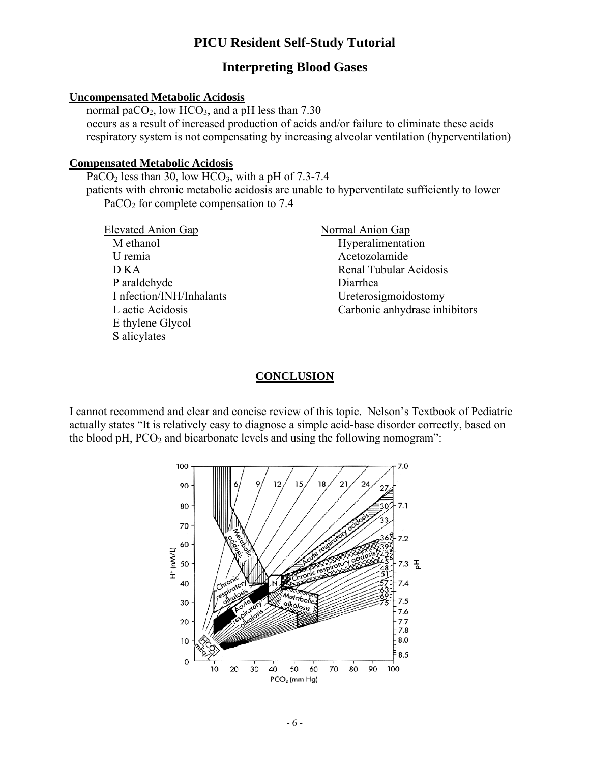## **Interpreting Blood Gases**

#### **Uncompensated Metabolic Acidosis**

normal paCO<sub>2</sub>, low HCO<sub>3</sub>, and a pH less than  $7.30$ occurs as a result of increased production of acids and/or failure to eliminate these acids respiratory system is not compensating by increasing alveolar ventilation (hyperventilation)

#### **Compensated Metabolic Acidosis**

PaCO<sub>2</sub> less than 30, low HCO<sub>3</sub>, with a pH of  $7.3-7.4$ patients with chronic metabolic acidosis are unable to hyperventilate sufficiently to lower PaCO<sub>2</sub> for complete compensation to  $7.4$ 

| <b>Elevated Anion Gap</b> | Normal Anion Gap   |
|---------------------------|--------------------|
| M ethanol                 | Hyperalimentation  |
| U remia                   | Acetozolamide      |
| D KA                      | Renal Tubular Acid |
| P araldehyde              | Diarrhea           |
| I nfection/INH/Inhalants  | Ureterosigmoidosto |
| L actic Acidosis          | Carbonic anhydrase |
| E thylene Glycol          |                    |
| S alicylates              |                    |

ar Acidosis oidostomy hydrase inhibitors

#### **CONCLUSION**

I cannot recommend and clear and concise review of this topic. Nelson's Textbook of Pediatric actually states "It is relatively easy to diagnose a simple acid-base disorder correctly, based on the blood pH,  $PCO<sub>2</sub>$  and bicarbonate levels and using the following nomogram":